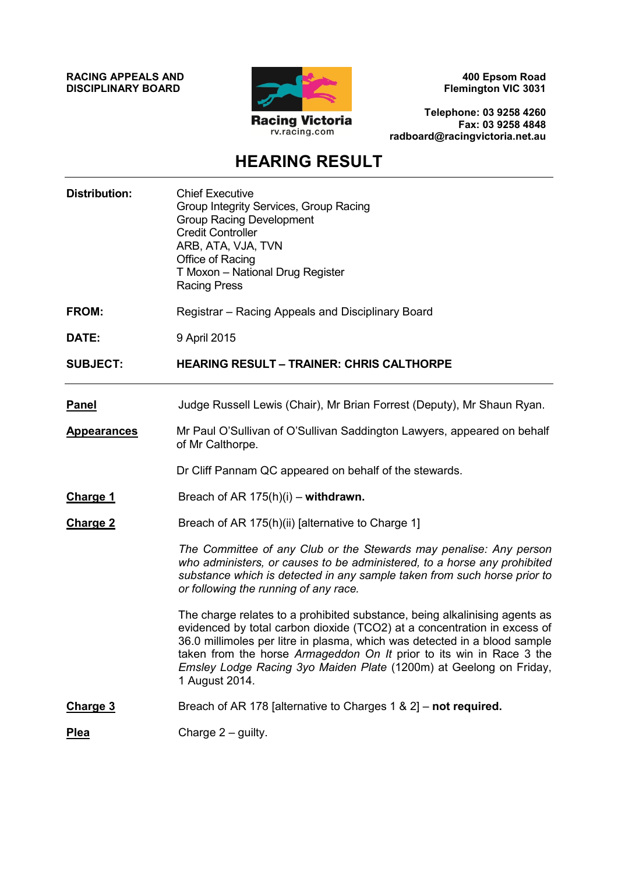**RACING APPEALS AND DISCIPLINARY BOARD**



**400 Epsom Road Flemington VIC 3031**

**Telephone: 03 9258 4260 Fax: 03 9258 4848 radboard@racingvictoria.net.au**

## **HEARING RESULT**

| <b>Distribution:</b> | <b>Chief Executive</b><br>Group Integrity Services, Group Racing<br><b>Group Racing Development</b><br><b>Credit Controller</b><br>ARB, ATA, VJA, TVN<br>Office of Racing<br>T Moxon - National Drug Register<br><b>Racing Press</b>                                                                                                                                                                |
|----------------------|-----------------------------------------------------------------------------------------------------------------------------------------------------------------------------------------------------------------------------------------------------------------------------------------------------------------------------------------------------------------------------------------------------|
| FROM:                | Registrar - Racing Appeals and Disciplinary Board                                                                                                                                                                                                                                                                                                                                                   |
| DATE:                | 9 April 2015                                                                                                                                                                                                                                                                                                                                                                                        |
| <b>SUBJECT:</b>      | <b>HEARING RESULT - TRAINER: CHRIS CALTHORPE</b>                                                                                                                                                                                                                                                                                                                                                    |
| <b>Panel</b>         | Judge Russell Lewis (Chair), Mr Brian Forrest (Deputy), Mr Shaun Ryan.                                                                                                                                                                                                                                                                                                                              |
| <b>Appearances</b>   | Mr Paul O'Sullivan of O'Sullivan Saddington Lawyers, appeared on behalf<br>of Mr Calthorpe.                                                                                                                                                                                                                                                                                                         |
|                      | Dr Cliff Pannam QC appeared on behalf of the stewards.                                                                                                                                                                                                                                                                                                                                              |
| <b>Charge 1</b>      | Breach of AR $175(h)(i)$ – withdrawn.                                                                                                                                                                                                                                                                                                                                                               |
| <b>Charge 2</b>      | Breach of AR 175(h)(ii) [alternative to Charge 1]                                                                                                                                                                                                                                                                                                                                                   |
|                      | The Committee of any Club or the Stewards may penalise: Any person<br>who administers, or causes to be administered, to a horse any prohibited<br>substance which is detected in any sample taken from such horse prior to<br>or following the running of any race.                                                                                                                                 |
|                      | The charge relates to a prohibited substance, being alkalinising agents as<br>evidenced by total carbon dioxide (TCO2) at a concentration in excess of<br>36.0 millimoles per litre in plasma, which was detected in a blood sample<br>taken from the horse Armageddon On It prior to its win in Race 3 the<br>Emsley Lodge Racing 3yo Maiden Plate (1200m) at Geelong on Friday,<br>1 August 2014. |
| <b>Charge 3</b>      | Breach of AR 178 [alternative to Charges 1 & 2] - not required.                                                                                                                                                                                                                                                                                                                                     |
| <b>Plea</b>          | Charge $2$ – guilty.                                                                                                                                                                                                                                                                                                                                                                                |